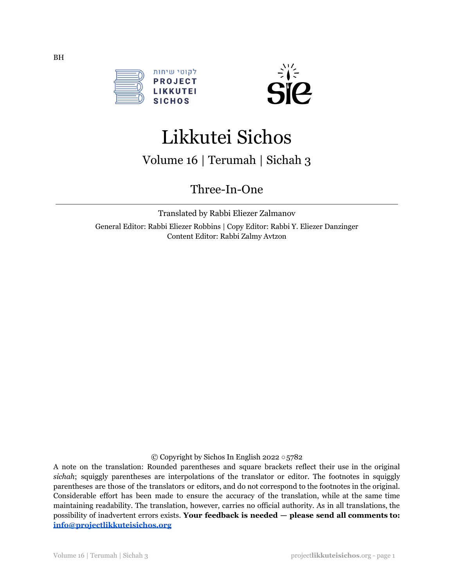



# Likkutei Sichos

Volume 16 | Terumah | Sichah 3

Three-In-One

Translated by Rabbi Eliezer Zalmanov General Editor: Rabbi Eliezer Robbins | Copy Editor: Rabbi Y. Eliezer Danzinger Content Editor: Rabbi Zalmy Avtzon

© Copyright by Sichos In English 2022 ○5782

A note on the translation: Rounded parentheses and square brackets reflect their use in the original *sichah*; squiggly parentheses are interpolations of the translator or editor. The footnotes in squiggly parentheses are those of the translators or editors, and do not correspond to the footnotes in the original. Considerable effort has been made to ensure the accuracy of the translation, while at the same time maintaining readability. The translation, however, carries no official authority. As in all translations, the possibility of inadvertent errors exists. **Your feedback is needed — please send all comments to: [info@projectlikkuteisichos.org](mailto:info@projectlikkuteisichos.org)**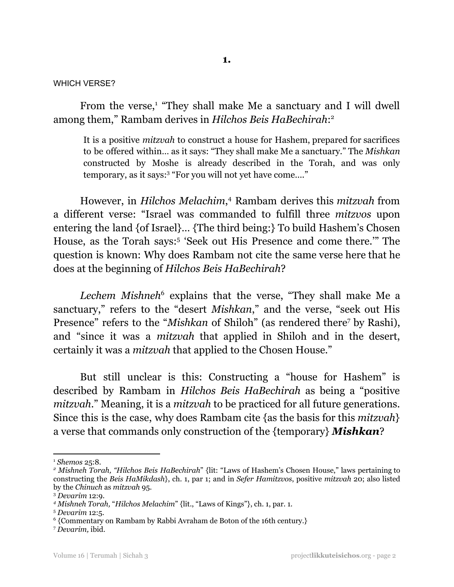#### WHICH VERSE?

From the verse,<sup>1</sup> "They shall make Me a sanctuary and I will dwell among them," Rambam derives in *Hilchos Beis HaBechirah*: 2

It is a positive *mitzvah* to construct a house for Hashem, prepared for sacrifices to be offered within… as it says: "They shall make Me a sanctuary." The *Mishkan* constructed by Moshe is already described in the Torah, and was only temporary, as it says:<sup>3</sup> "For you will not yet have come…."

However, in *Hilchos Melachim*, <sup>4</sup> Rambam derives this *mitzvah* from a different verse: "Israel was commanded to fulfill three *mitzvos* upon entering the land {of Israel}… {The third being:} To build Hashem's Chosen House, as the Torah says: 5 'Seek out His Presence and come there.'" The question is known: Why does Rambam not cite the same verse here that he does at the beginning of *Hilchos Beis HaBechirah*?

*Lechem Mishneh* <sup>6</sup> explains that the verse, "They shall make Me a sanctuary," refers to the "desert *Mishkan*," and the verse, "seek out His Presence" refers to the "*Mishkan* of Shiloh" (as rendered there<sup>7</sup> by Rashi), and "since it was a *mitzvah* that applied in Shiloh and in the desert, certainly it was a *mitzvah* that applied to the Chosen House."

But still unclear is this: Constructing a "house for Hashem" is described by Rambam in *Hilchos Beis HaBechirah* as being a "positive *mitzvah*." Meaning, it is a *mitzvah* to be practiced for all future generations. Since this is the case, why does Rambam cite {as the basis for this *mitzvah*} a verse that commands only construction of the {temporary} *Mishkan*?

<sup>1</sup> *Shemos* 25:8.

*<sup>2</sup> Mishneh Torah, "Hilchos Beis HaBechirah*" {lit: "Laws of Hashem's Chosen House," laws pertaining to constructing the *Beis HaMikdash*}, ch. 1, par 1; and in *Sefer Hamitzvos*, positive *mitzvah* 20; also listed by the *Chinuch* as *mitzvah* 95.

<sup>3</sup> *Devarim* 12:9.

*<sup>4</sup> Mishneh Torah,* "*Hilchos Melachim*" {lit., "Laws of Kings"}, ch. 1, par. 1.

<sup>5</sup> *Devarim* 12:5.

<sup>6</sup> {Commentary on Rambam by Rabbi Avraham de Boton of the 16th century.}

<sup>7</sup> *Devarim,* ibid.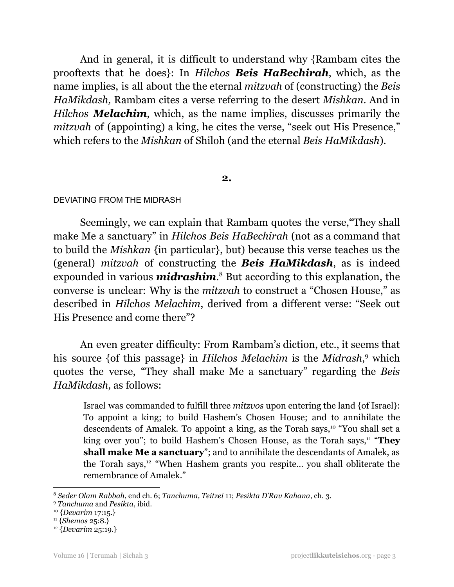And in general, it is difficult to understand why {Rambam cites the prooftexts that he does}: In *Hilchos Beis HaBechirah*, which, as the name implies, is all about the the eternal *mitzvah* of (constructing) the *Beis HaMikdash,* Rambam cites a verse referring to the desert *Mishkan*. And in *Hilchos Melachim*, which, as the name implies, discusses primarily the *mitzvah* of (appointing) a king, he cites the verse, "seek out His Presence," which refers to the *Mishkan* of Shiloh (and the eternal *Beis HaMikdash*).

#### **2.**

#### DEVIATING FROM THE MIDRASH

Seemingly, we can explain that Rambam quotes the verse,"They shall make Me a sanctuary" in *Hilchos Beis HaBechirah* (not as a command that to build the *Mishkan* {in particular}, but) because this verse teaches us the (general) *mitzvah* of constructing the *Beis HaMikdash*, as is indeed expounded in various *midrashim*. <sup>8</sup> But according to this explanation, the converse is unclear: Why is the *mitzvah* to construct a "Chosen House," as described in *Hilchos Melachim*, derived from a different verse: "Seek out His Presence and come there"?

An even greater difficulty: From Rambam's diction, etc., it seems that his source {of this passage} in *Hilchos Melachim* is the *Midrash*, <sup>9</sup> which quotes the verse, "They shall make Me a sanctuary" regarding the *Beis HaMikdash,* as follows:

Israel was commanded to fulfill three *mitzvos* upon entering the land {of Israel}: To appoint a king; to build Hashem's Chosen House; and to annihilate the descendents of Amalek. To appoint a king, as the Torah says,<sup>10</sup> "You shall set a king over you"; to build Hashem's Chosen House, as the Torah says,<sup>11</sup> "They **shall make Me a sanctuary**"; and to annihilate the descendants of Amalek, as the Torah says,<sup>12</sup> "When Hashem grants you respite... you shall obliterate the remembrance of Amalek."

<sup>8</sup> *Seder Olam Rabbah*, end ch. 6; *Tanchuma, Teitzei* 11; *Pesikta D'Rav Kahana*, ch. 3.

<sup>9</sup> *Tanchuma* and *Pesikta*, ibid.

<sup>10</sup> {*Devarim* 17:15.}

<sup>11</sup> {*Shemos* 25:8.}

<sup>12</sup> {*Devarim* 25:19.}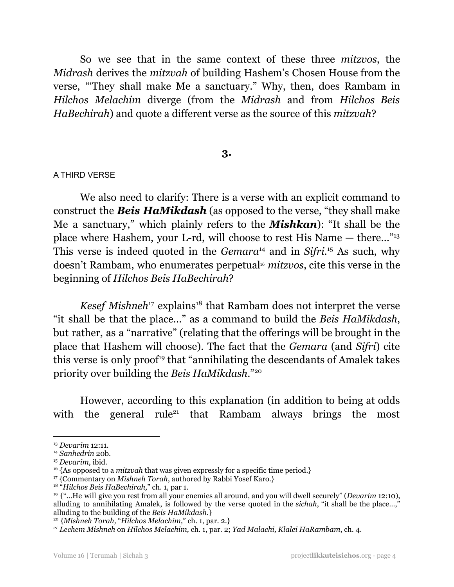So we see that in the same context of these three *mitzvos*, the *Midrash* derives the *mitzvah* of building Hashem's Chosen House from the verse, "'They shall make Me a sanctuary." Why, then, does Rambam in *Hilchos Melachim* diverge (from the *Midrash* and from *Hilchos Beis HaBechirah*) and quote a different verse as the source of this *mitzvah*?

## **3.**

#### A THIRD VERSE

We also need to clarify: There is a verse with an explicit command to construct the *Beis HaMikdash* (as opposed to the verse, "they shall make Me a sanctuary," which plainly refers to the *Mishkan*): "It shall be the place where Hashem, your L-rd, will choose to rest His Name — there…" 13 This verse is indeed quoted in the *Gemara*<sup>14</sup> and in *Sifri*.<sup>15</sup> As such, why doesn't Rambam, who enumerates perpetual <sup>16</sup> *mitzvos*, cite this verse in the beginning of *Hilchos Beis HaBechirah*?

Kesef Mishneh<sup>17</sup> explains<sup>18</sup> that Rambam does not interpret the verse "it shall be that the place…" as a command to build the *Beis HaMikdash*, but rather, as a "narrative" (relating that the offerings will be brought in the place that Hashem will choose). The fact that the *Gemara* (and *Sifri*) cite this verse is only proof<sup>19</sup> that "annihilating the descendants of Amalek takes priority over building the *Beis HaMikdash*." 20

However, according to this explanation (in addition to being at odds with the general rule<sup>21</sup> that Rambam always brings the most

<sup>13</sup> *Devarim* 12:11.

<sup>14</sup> *Sanhedrin* 20b.

<sup>15</sup> *Devarim*, ibid.

<sup>&</sup>lt;sup>16</sup> {As opposed to a *mitzvah* that was given expressly for a specific time period.}

<sup>&</sup>lt;sup>17</sup> {Commentary on *Mishneh Torah*, authored by Rabbi Yosef Karo.}

<sup>18</sup> "*Hilchos Beis HaBechirah,*" ch. 1, par 1.

<sup>19</sup> {"...He will give you rest from all your enemies all around, and you will dwell securely" (*Devarim* 12:10), alluding to annihilating Amalek, is followed by the verse quoted in the *sichah*, "it shall be the place…," alluding to the building of the *Beis HaMikdash*.}

<sup>20</sup> {*Mishneh Torah,* "*Hilchos Melachim,*" ch. 1, par. 2.}

*<sup>21</sup> Lechem Mishneh* on *Hilchos Melachim,* ch. 1, par. 2; *Yad Malachi, Klalei HaRambam*, ch. 4.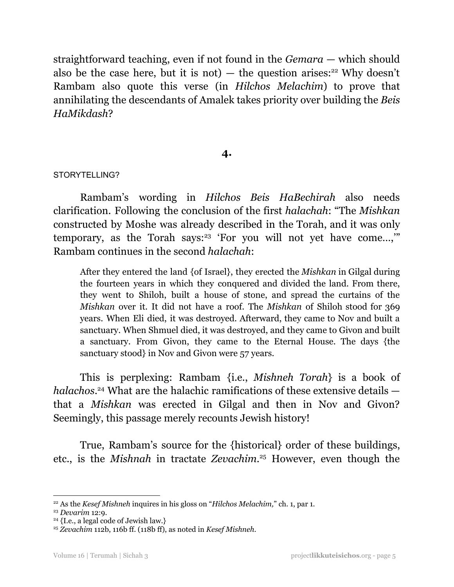straightforward teaching, even if not found in the *Gemara* — which should also be the case here, but it is not)  $-$  the question arises:<sup>22</sup> Why doesn't Rambam also quote this verse (in *Hilchos Melachim*) to prove that annihilating the descendants of Amalek takes priority over building the *Beis HaMikdash*?

## **4.**

#### STORYTELLING?

Rambam's wording in *Hilchos Beis HaBechirah* also needs clarification. Following the conclusion of the first *halachah*: "The *Mishkan* constructed by Moshe was already described in the Torah, and it was only temporary, as the Torah says:<sup>23</sup> 'For you will not yet have come...," Rambam continues in the second *halachah*:

After they entered the land {of Israel}, they erected the *Mishkan* in Gilgal during the fourteen years in which they conquered and divided the land. From there, they went to Shiloh, built a house of stone, and spread the curtains of the *Mishkan* over it. It did not have a roof. The *Mishkan* of Shiloh stood for 369 years. When Eli died, it was destroyed. Afterward, they came to Nov and built a sanctuary. When Shmuel died, it was destroyed, and they came to Givon and built a sanctuary. From Givon, they came to the Eternal House. The days {the sanctuary stood} in Nov and Givon were 57 years.

This is perplexing: Rambam {i.e., *Mishneh Torah*} is a book of *halachos*. <sup>24</sup> What are the halachic ramifications of these extensive details that a *Mishkan* was erected in Gilgal and then in Nov and Givon? Seemingly, this passage merely recounts Jewish history!

True, Rambam's source for the {historical} order of these buildings, etc., is the *Mishnah* in tractate *Zevachim*. <sup>25</sup> However, even though the

<sup>22</sup> As the *Kesef Mishneh* inquires in his gloss on "*Hilchos Melachim,*" ch. 1, par 1.

<sup>23</sup> *Devarim* 12:9.

<sup>&</sup>lt;sup>24</sup> {I.e., a legal code of Jewish law.}

<sup>25</sup> *Zevachim* 112b, 116b ff. (118b ff), as noted in *Kesef Mishneh*.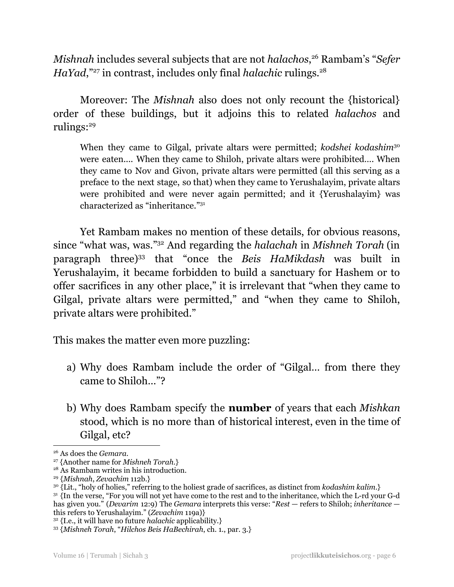*Mishnah* includes several subjects that are not *halachos*, <sup>26</sup> Rambam's "*Sefer* HaYad,"<sup>27</sup> in contrast, includes only final *halachic* rulings.<sup>28</sup>

Moreover: The *Mishnah* also does not only recount the {historical} order of these buildings, but it adjoins this to related *halachos* and rulings: 29

When they came to Gilgal, private altars were permitted; *kodshei kodashim*<sup>30</sup> were eaten.... When they came to Shiloh, private altars were prohibited…. When they came to Nov and Givon, private altars were permitted (all this serving as a preface to the next stage, so that) when they came to Yerushalayim, private altars were prohibited and were never again permitted; and it {Yerushalayim} was characterized as "inheritance."<sup>31</sup>

Yet Rambam makes no mention of these details, for obvious reasons, since "what was, was." <sup>32</sup> And regarding the *halachah* in *Mishneh Torah* (in paragraph three) 33 that "once the *Beis HaMikdash* was built in Yerushalayim, it became forbidden to build a sanctuary for Hashem or to offer sacrifices in any other place," it is irrelevant that "when they came to Gilgal, private altars were permitted," and "when they came to Shiloh, private altars were prohibited."

This makes the matter even more puzzling:

- a) Why does Rambam include the order of "Gilgal… from there they came to Shiloh…"?
- b) Why does Rambam specify the **number** of years that each *Mishkan* stood, which is no more than of historical interest, even in the time of Gilgal, etc?

<sup>26</sup> As does the *Gemara*.

<sup>27</sup> {Another name for *Mishneh Torah*.}

<sup>28</sup> As Rambam writes in his introduction.

<sup>29</sup> {*Mishnah*, *Zevachim* 112b.}

<sup>30</sup> {Lit., "holy of holies," referring to the holiest grade of sacrifices, as distinct from *kodashim kalim*.}

<sup>&</sup>lt;sup>31</sup> {In the verse, "For you will not yet have come to the rest and to the inheritance, which the L-rd your G-d has given you." (*Devarim* 12:9) The *Gemara* interprets this verse: "*Rest* — refers to Shiloh; *inheritance* this refers to Yerushalayim." (*Zevachim* 119a)}

<sup>32</sup> {I.e., it will have no future *halachic* applicability.}

<sup>33</sup> {*Mishneh Torah*, "*Hilchos Beis HaBechirah*, ch. 1., par. 3.}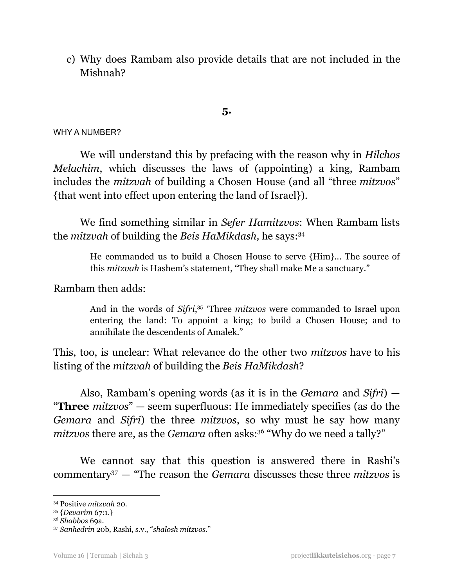c) Why does Rambam also provide details that are not included in the Mishnah?

**5.**

#### WHY A NUMBER?

We will understand this by prefacing with the reason why in *Hilchos Melachim*, which discusses the laws of (appointing) a king, Rambam includes the *mitzvah* of building a Chosen House (and all "three *mitzvos*" {that went into effect upon entering the land of Israel}).

We find something similar in *Sefer Hamitzvos*: When Rambam lists the *mitzvah* of building the *Beis HaMikdash,* he says: 34

> He commanded us to build a Chosen House to serve {Him}... The source of this *mitzvah* is Hashem's statement, "They shall make Me a sanctuary."

## Rambam then adds:

And in the words of *Sifri*, 35 'Three *mitzvos* were commanded to Israel upon entering the land: To appoint a king; to build a Chosen House; and to annihilate the descendents of Amalek."

This, too, is unclear: What relevance do the other two *mitzvos* have to his listing of the *mitzvah* of building the *Beis HaMikdash*?

Also, Rambam's opening words (as it is in the *Gemara* and *Sifri*) — "**Three** *mitzvos*" — seem superfluous: He immediately specifies (as do the *Gemara* and *Sifri*) the three *mitzvos*, so why must he say how many *mitzvos* there are, as the *Gemara* often asks: <sup>36</sup> "Why do we need a tally?"

We cannot say that this question is answered there in Rashi's commentary <sup>37</sup> — "The reason the *Gemara* discusses these three *mitzvos* is

<sup>34</sup> Positive *mitzvah* 20.

<sup>35</sup> {*Devarim* 67:1.}

<sup>36</sup> *Shabbos* 69a.

<sup>37</sup> *Sanhedrin* 20b, Rashi, s.v., "*shalosh mitzvos*."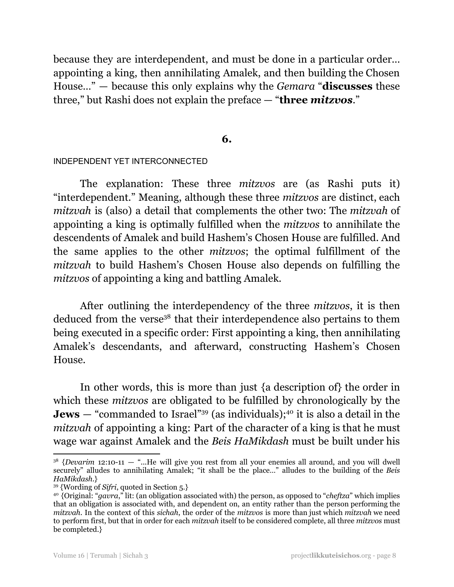because they are interdependent, and must be done in a particular order… appointing a king, then annihilating Amalek, and then building the Chosen House…" — because this only explains why the *Gemara* "**discusses** these three," but Rashi does not explain the preface — "**three** *mitzvos*."

#### **6.**

#### INDEPENDENT YET INTERCONNECTED

The explanation: These three *mitzvos* are (as Rashi puts it) "interdependent." Meaning, although these three *mitzvos* are distinct, each *mitzvah* is (also) a detail that complements the other two: The *mitzvah* of appointing a king is optimally fulfilled when the *mitzvos* to annihilate the descendents of Amalek and build Hashem's Chosen House are fulfilled. And the same applies to the other *mitzvos*; the optimal fulfillment of the *mitzvah* to build Hashem's Chosen House also depends on fulfilling the *mitzvos* of appointing a king and battling Amalek.

After outlining the interdependency of the three *mitzvos*, it is then deduced from the verse<sup>38</sup> that their interdependence also pertains to them being executed in a specific order: First appointing a king, then annihilating Amalek's descendants, and afterward, constructing Hashem's Chosen House.

In other words, this is more than just {a description of} the order in which these *mitzvos* are obligated to be fulfilled by chronologically by the **Jews** — "commanded to Israel"<sup>39</sup> (as individuals);<sup>40</sup> it is also a detail in the *mitzvah* of appointing a king: Part of the character of a king is that he must wage war against Amalek and the *Beis HaMikdash* must be built under his

<sup>&</sup>lt;sup>38</sup> {*Devarim* 12:10-11 - "...He will give you rest from all your enemies all around, and you will dwell securely" alludes to annihilating Amalek; "it shall be the place…" alludes to the building of the *Beis HaMikdash*.}

<sup>39</sup> {Wording of *Sifri*, quoted in Section 5.}

<sup>40</sup> {Original: "*gavra*," lit: (an obligation associated with) the person, as opposed to "*cheftza*" which implies that an obligation is associated with, and dependent on, an entity rather than the person performing the *mitzvah*. In the context of this *sichah*, the order of the *mitzvos* is more than just which *mitzvah* we need to perform first, but that in order for each *mitzvah* itself to be considered complete, all three *mitzvos* must be completed.}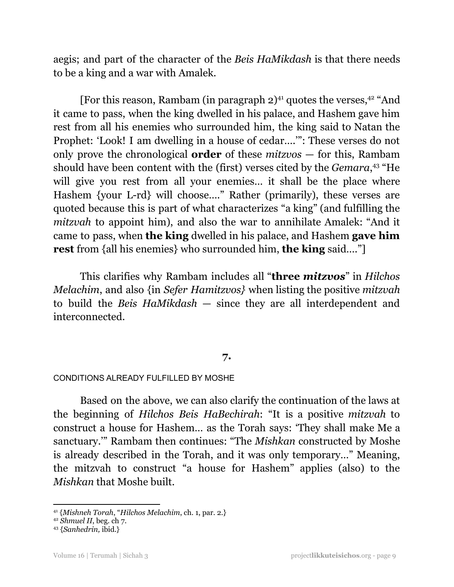aegis; and part of the character of the *Beis HaMikdash* is that there needs to be a king and a war with Amalek.

[For this reason, Rambam (in paragraph 2)<sup>41</sup> quotes the verses,<sup>42</sup> "And it came to pass, when the king dwelled in his palace, and Hashem gave him rest from all his enemies who surrounded him, the king said to Natan the Prophet: 'Look! I am dwelling in a house of cedar….'": These verses do not only prove the chronological **order** of these *mitzvos* — for this, Rambam should have been content with the (first) verses cited by the *Gemara*, <sup>43</sup> "He will give you rest from all your enemies... it shall be the place where Hashem {your L-rd} will choose…." Rather (primarily), these verses are quoted because this is part of what characterizes "a king" (and fulfilling the *mitzvah* to appoint him), and also the war to annihilate Amalek: "And it came to pass, when **the king** dwelled in his palace, and Hashem **gave him rest** from {all his enemies} who surrounded him, **the king** said…."]

This clarifies why Rambam includes all "**three** *mitzvos*" in *Hilchos Melachim*, and also {in *Sefer Hamitzvos}* when listing the positive *mitzvah* to build the *Beis HaMikdash* — since they are all interdependent and interconnected.

## **7.**

#### CONDITIONS ALREADY FULFILLED BY MOSHE

Based on the above, we can also clarify the continuation of the laws at the beginning of *Hilchos Beis HaBechirah*: "It is a positive *mitzvah* to construct a house for Hashem… as the Torah says: 'They shall make Me a sanctuary.'" Rambam then continues: "The *Mishkan* constructed by Moshe is already described in the Torah, and it was only temporary…" Meaning, the mitzvah to construct "a house for Hashem" applies (also) to the *Mishkan* that Moshe built.

<sup>41</sup> {*Mishneh Torah*, "*Hilchos Melachim*, ch. 1, par. 2.}

<sup>42</sup> *Shmuel II*, beg. ch 7.

<sup>43</sup> {*Sanhedrin,* ibid.}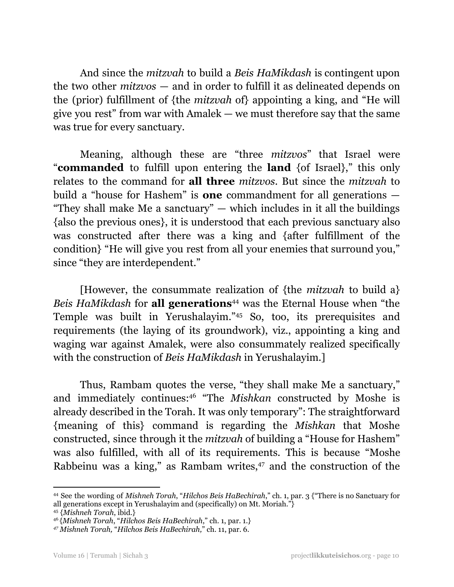And since the *mitzvah* to build a *Beis HaMikdash* is contingent upon the two other *mitzvos* — and in order to fulfill it as delineated depends on the (prior) fulfillment of {the *mitzvah* of} appointing a king, and "He will give you rest" from war with Amalek  $-$  we must therefore say that the same was true for every sanctuary.

Meaning, although these are "three *mitzvos*" that Israel were "**commanded** to fulfill upon entering the **land** {of Israel}," this only relates to the command for **all three** *mitzvos*. But since the *mitzvah* to build a "house for Hashem" is **one** commandment for all generations — "They shall make Me a sanctuary"  $-$  which includes in it all the buildings {also the previous ones}, it is understood that each previous sanctuary also was constructed after there was a king and {after fulfillment of the condition} "He will give you rest from all your enemies that surround you," since "they are interdependent."

[However, the consummate realization of {the *mitzvah* to build a} *Beis HaMikdash* for **all generations** <sup>44</sup> was the Eternal House when "the Temple was built in Yerushalayim." <sup>45</sup> So, too, its prerequisites and requirements (the laying of its groundwork), viz., appointing a king and waging war against Amalek, were also consummately realized specifically with the construction of *Beis HaMikdash* in Yerushalayim.]

Thus, Rambam quotes the verse, "they shall make Me a sanctuary," and immediately continues: <sup>46</sup> "The *Mishkan* constructed by Moshe is already described in the Torah. It was only temporary": The straightforward {meaning of this} command is regarding the *Mishkan* that Moshe constructed, since through it the *mitzvah* of building a "House for Hashem" was also fulfilled, with all of its requirements. This is because "Moshe Rabbeinu was a king," as Rambam writes, <sup>47</sup> and the construction of the

<sup>45</sup> {*Mishneh Torah*, ibid.} <sup>44</sup> See the wording of *Mishneh Torah*, "*Hilchos Beis HaBechirah*," ch. 1, par. 3 {"There is no Sanctuary for all generations except in Yerushalayim and (specifically) on Mt. Moriah."}

<sup>46</sup> {*Mishneh Torah*, "*Hilchos Beis HaBechirah*," ch. 1, par. 1.}

*<sup>47</sup> Mishneh Torah,* "*Hilchos Beis HaBechirah,*" ch. 11, par. 6.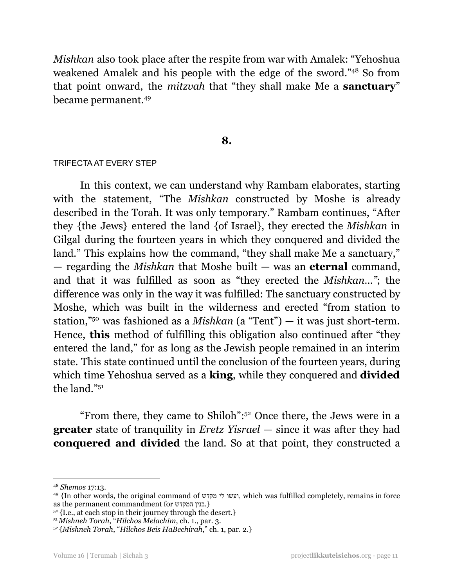*Mishkan* also took place after the respite from war with Amalek: "Yehoshua weakened Amalek and his people with the edge of the sword." <sup>48</sup> So from that point onward, the *mitzvah* that "they shall make Me a **sanctuary**" became permanent. 49

#### **8.**

#### TRIFECTA AT EVERY STEP

In this context, we can understand why Rambam elaborates, starting with the statement, "The *Mishkan* constructed by Moshe is already described in the Torah. It was only temporary." Rambam continues, "After they {the Jews} entered the land {of Israel}, they erected the *Mishkan* in Gilgal during the fourteen years in which they conquered and divided the land." This explains how the command, "they shall make Me a sanctuary," — regarding the *Mishkan* that Moshe built — was an **eternal** command, and that it was fulfilled as soon as "they erected the *Mishkan…"*; the difference was only in the way it was fulfilled: The sanctuary constructed by Moshe, which was built in the wilderness and erected "from station to station," <sup>50</sup> was fashioned as a *Mishkan* (a "Tent") — it was just short-term. Hence, **this** method of fulfilling this obligation also continued after "they entered the land," for as long as the Jewish people remained in an interim state. This state continued until the conclusion of the fourteen years, during which time Yehoshua served as a **king**, while they conquered and **divided** the land." 51

"From there, they came to Shiloh": <sup>52</sup> Once there, the Jews were in a **greater** state of tranquility in *Eretz Yisrael* — since it was after they had **conquered and divided** the land. So at that point, they constructed a

<sup>48</sup> *Shemos* 17:13.

<sup>49</sup> {In other words, the original command of מקדש לי ועשו, which was fulfilled completely, remains in force as the permanent commandment for המקדש בנין.{

 $50$  {I.e., at each stop in their journey through the desert.}

<sup>51</sup>*Mishneh Torah*, "*Hilchos Melachim*, ch. 1., par. 3.

<sup>52</sup> {*Mishneh Torah*, "*Hilchos Beis HaBechirah*," ch. 1, par. 2.}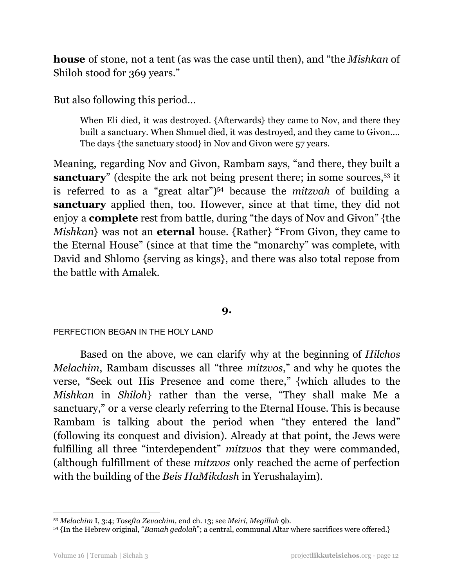**house** of stone, not a tent (as was the case until then), and "the *Mishkan* of Shiloh stood for 369 years."

But also following this period…

When Eli died, it was destroyed. {Afterwards} they came to Nov, and there they built a sanctuary. When Shmuel died, it was destroyed, and they came to Givon…. The days {the sanctuary stood} in Nov and Givon were 57 years.

Meaning, regarding Nov and Givon, Rambam says, "and there, they built a **sanctuary**" (despite the ark not being present there; in some sources,<sup>53</sup> it is referred to as a "great altar") <sup>54</sup> because the *mitzvah* of building a **sanctuary** applied then, too. However, since at that time, they did not enjoy a **complete** rest from battle, during "the days of Nov and Givon" {the *Mishkan*} was not an **eternal** house. {Rather} "From Givon, they came to the Eternal House" (since at that time the "monarchy" was complete, with David and Shlomo {serving as kings}, and there was also total repose from the battle with Amalek.

## **9.**

### PERFECTION BEGAN IN THE HOLY LAND

Based on the above, we can clarify why at the beginning of *Hilchos Melachim*, Rambam discusses all "three *mitzvos*," and why he quotes the verse, "Seek out His Presence and come there," {which alludes to the *Mishkan* in *Shiloh*} rather than the verse, "They shall make Me a sanctuary," or a verse clearly referring to the Eternal House. This is because Rambam is talking about the period when "they entered the land" (following its conquest and division). Already at that point, the Jews were fulfilling all three "interdependent" *mitzvos* that they were commanded, (although fulfillment of these *mitzvos* only reached the acme of perfection with the building of the *Beis HaMikdash* in Yerushalayim).

<sup>53</sup> *Melachim* I, 3:4; *Tosefta Zevachim,* end ch. 13; see *Meiri, Megillah* 9b.

<sup>54</sup> {In the Hebrew original, "*Bamah gedolah*"; a central, communal Altar where sacrifices were offered.}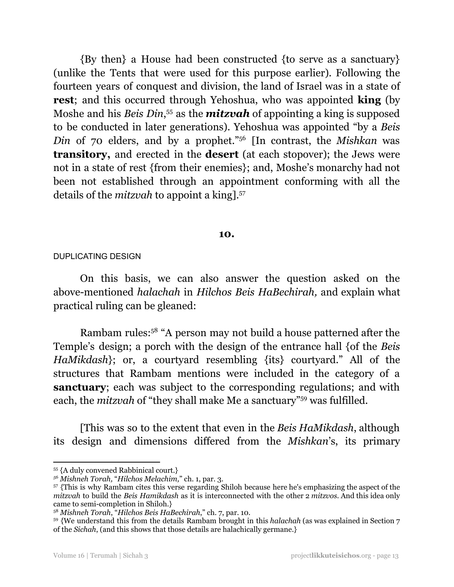{By then} a House had been constructed {to serve as a sanctuary} (unlike the Tents that were used for this purpose earlier). Following the fourteen years of conquest and division, the land of Israel was in a state of **rest**; and this occurred through Yehoshua, who was appointed **king** (by Moshe and his *Beis Din*, <sup>55</sup> as the *mitzvah* of appointing a king is supposed to be conducted in later generations). Yehoshua was appointed "by a *Beis Din* of 70 elders, and by a prophet." <sup>56</sup> [In contrast, the *Mishkan* was **transitory,** and erected in the **desert** (at each stopover); the Jews were not in a state of rest {from their enemies}; and, Moshe's monarchy had not been not established through an appointment conforming with all the details of the *mitzvah* to appoint a king]. 57

#### **10.**

#### DUPLICATING DESIGN

On this basis, we can also answer the question asked on the above-mentioned *halachah* in *Hilchos Beis HaBechirah,* and explain what practical ruling can be gleaned:

Rambam rules: <sup>58</sup> "A person may not build a house patterned after the Temple's design; a porch with the design of the entrance hall {of the *Beis HaMikdash*}; or, a courtyard resembling {its} courtyard." All of the structures that Rambam mentions were included in the category of a **sanctuary**; each was subject to the corresponding regulations; and with each, the *mitzvah* of "they shall make Me a sanctuary"<sup>59</sup> was fulfilled.

[This was so to the extent that even in the *Beis HaMikdash*, although its design and dimensions differed from the *Mishkan*'s, its primary

<sup>55</sup> {A duly convened Rabbinical court.}

*<sup>56</sup> Mishneh Torah,* "*Hilchos Melachim,*" ch. 1, par. 3.

<sup>57</sup> {This is why Rambam cites this verse regarding Shiloh because here he's emphasizing the aspect of the *mitzvah* to build the *Beis Hamikdash* as it is interconnected with the other 2 *mitzvos*. And this idea only came to semi-completion in Shiloh.}

<sup>58</sup> *Mishneh Torah*, "*Hilchos Beis HaBechirah*," ch. 7, par. 10.

<sup>59</sup> {We understand this from the details Rambam brought in this *halachah* (as was explained in Section 7 of the *Sichah*, (and this shows that those details are halachically germane.}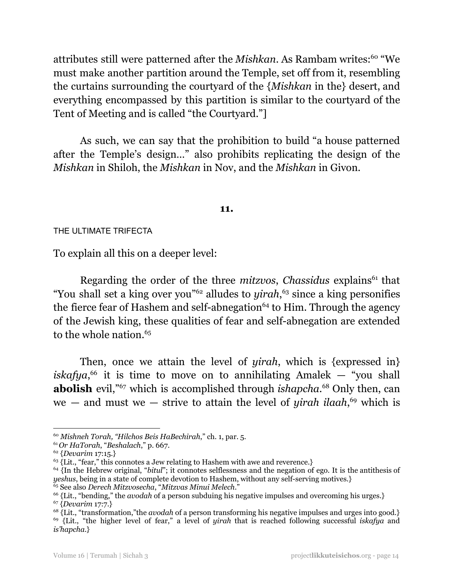attributes still were patterned after the *Mishkan*. As Rambam writes: <sup>60</sup> "We must make another partition around the Temple, set off from it, resembling the curtains surrounding the courtyard of the {*Mishkan* in the} desert, and everything encompassed by this partition is similar to the courtyard of the Tent of Meeting and is called "the Courtyard."]

As such, we can say that the prohibition to build "a house patterned after the Temple's design…" also prohibits replicating the design of the *Mishkan* in Shiloh, the *Mishkan* in Nov, and the *Mishkan* in Givon.

#### **11.**

THE ULTIMATE TRIFECTA

To explain all this on a deeper level:

Regarding the order of the three *mitzvos*, *Chassidus* explains<sup>61</sup> that "You shall set a king over you" <sup>62</sup> alludes to *yirah*, <sup>63</sup> since a king personifies the fierce fear of Hashem and self-abnegation<sup>64</sup> to Him. Through the agency of the Jewish king, these qualities of fear and self-abnegation are extended to the whole nation. 65

Then, once we attain the level of *yirah*, which is {expressed in}  $iskafya<sup>66</sup>$  it is time to move on to annihilating Amalek — "you shall **abolish** evil,"<sup>67</sup> which is accomplished through *ishapcha*.<sup>68</sup> Only then, can we — and must we — strive to attain the level of *yirah ilaah*, <sup>69</sup> which is

<sup>60</sup> *Mishneh Torah, "Hilchos Beis HaBechirah*," ch. 1, par. 5.

<sup>61</sup>*Or HaTorah*, "*Beshalach*," p. 667.

<sup>62</sup> {*Devarim* 17:15.}

<sup>&</sup>lt;sup>63</sup> {Lit., "fear," this connotes a Jew relating to Hashem with awe and reverence.}

<sup>&</sup>lt;sup>64</sup> {In the Hebrew original, "*bitul*"; it connotes selflessness and the negation of ego. It is the antithesis of *yeshus*, being in a state of complete devotion to Hashem, without any self-serving motives.}

<sup>65</sup> See also *Derech Mitzvosecha*, "*Mitzvas Minui Melech*."

<sup>66</sup> {Lit., "bending," the *avodah* of a person subduing his negative impulses and overcoming his urges.}

<sup>67</sup> {*Devarim* 17:7.}

<sup>69</sup> {Lit., "the higher level of fear," a level of *yirah* that is reached following successful *iskafya* and *is'hapcha*.} <sup>68</sup> {Lit., "transformation,"the *avodah* of a person transforming his negative impulses and urges into good.}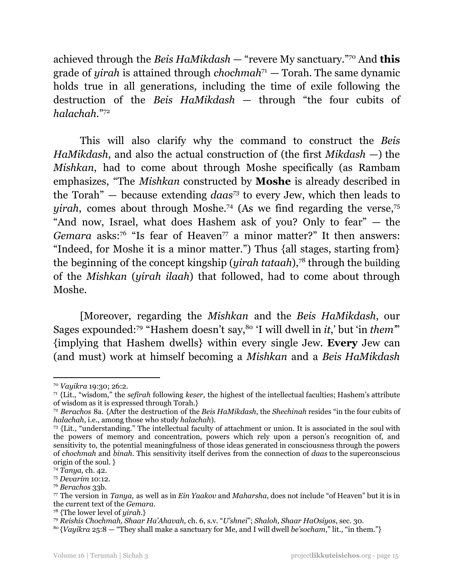achieved through the *Beis HaMikdash* — "revere My sanctuary." <sup>70</sup> And **this** grade of *yirah* is attained through *chochmah* <sup>71</sup> — Torah. The same dynamic holds true in all generations, including the time of exile following the destruction of the *Beis HaMikdash* — through "the four cubits of *halachah*." 72

This will also clarify why the command to construct the *Beis HaMikdash*, and also the actual construction of (the first *Mikdash* —) the *Mishkan*, had to come about through Moshe specifically (as Rambam emphasizes, "The *Mishkan* constructed by **Moshe** is already described in the Torah" – because extending *daas*<sup>73</sup> to every Jew, which then leads to *yirah*, comes about through Moshe. <sup>74</sup> (As we find regarding the verse, 75 "And now, Israel, what does Hashem ask of you? Only to fear" — the Gemara asks:<sup>76</sup> "Is fear of Heaven<sup>77</sup> a minor matter?" It then answers: "Indeed, for Moshe it is a minor matter.") Thus {all stages, starting from} the beginning of the concept kingship (*yirah tataah*), 78 through the building of the *Mishkan* (*yirah ilaah*) that followed, had to come about through Moshe.

[Moreover, regarding the *Mishkan* and the *Beis HaMikdash*, our Sages expounded: <sup>79</sup> "Hashem doesn't say, 80 'I will dwell in *it*,' but 'in *them'*" {implying that Hashem dwells} within every single Jew. **Every** Jew can (and must) work at himself becoming a *Mishkan* and a *Beis HaMikdash*

<sup>70</sup> *Vayikra* 19:30; 26:2.

<sup>71</sup> {Lit., "wisdom," the *sefirah* following *keser*, the highest of the intellectual faculties; Hashem's attribute of wisdom as it is expressed through Torah.}

<sup>72</sup> *Berachos* 8a. {After the destruction of the *Beis HaMikdash*, the *Shechinah* resides "in the four cubits of *halachah*, i.e., among those who study *halachah*).

<sup>73</sup> {Lit., "understanding." The intellectual faculty of attachment or union. It is associated in the soul with the powers of memory and concentration, powers which rely upon a person's recognition of, and sensitivity to, the potential meaningfulness of those ideas generated in consciousness through the powers of *chochmah* and *binah*. This sensitivity itself derives from the connection of *daas* to the superconscious origin of the soul. }

<sup>74</sup> *Tanya,* ch. 42.

<sup>75</sup> *Devarim* 10:12.

<sup>76</sup> *Berachos* 33b.

<sup>77</sup> The version in *Tanya,* as well as in *Ein Yaakov* and *Maharsha*, does not include "of Heaven" but it is in the current text of the *Gemara*.

<sup>78</sup> {The lower level of *yirah.*}

<sup>79</sup> *Reishis Chochmah, Shaar Ha'Ahavah,* ch. 6, s.v. "*U'shnei*"; *Shaloh, Shaar HaOsiyos*, sec. 30.

<sup>80</sup> {*Vayikra* 25:8 — "They shall make a sanctuary for Me, and I will dwell *be'socham*," lit., "in them."}